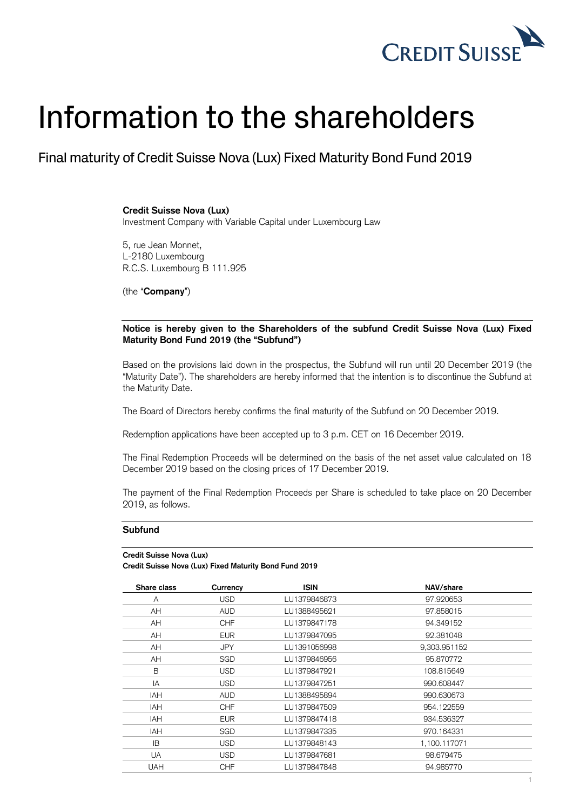

## Information to the shareholders

Final maturity of Credit Suisse Nova (Lux) Fixed Maturity Bond Fund 2019

**Credit Suisse Nova (Lux)**

Investment Company with Variable Capital under Luxembourg Law

5, rue Jean Monnet, L-2180 Luxembourg R.C.S. Luxembourg B 111.925

(the "**Company**")

## **Notice is hereby given to the Shareholders of the subfund Credit Suisse Nova (Lux) Fixed Maturity Bond Fund 2019 (the "Subfund")**

Based on the provisions laid down in the prospectus, the Subfund will run until 20 December 2019 (the "Maturity Date"). The shareholders are hereby informed that the intention is to discontinue the Subfund at the Maturity Date.

The Board of Directors hereby confirms the final maturity of the Subfund on 20 December 2019.

Redemption applications have been accepted up to 3 p.m. CET on 16 December 2019.

The Final Redemption Proceeds will be determined on the basis of the net asset value calculated on 18 December 2019 based on the closing prices of 17 December 2019.

The payment of the Final Redemption Proceeds per Share is scheduled to take place on 20 December 2019, as follows.

## **Subfund**

## **Credit Suisse Nova (Lux)**

**Credit Suisse Nova (Lux) Fixed Maturity Bond Fund 2019**

| Currency   | <b>ISIN</b>  | NAV/share    |
|------------|--------------|--------------|
| <b>USD</b> | LU1379846873 | 97.920653    |
| <b>AUD</b> | LU1388495621 | 97.858015    |
| <b>CHF</b> | LU1379847178 | 94.349152    |
| <b>EUR</b> | LU1379847095 | 92.381048    |
| JPY.       | LU1391056998 | 9,303.951152 |
| <b>SGD</b> | LU1379846956 | 95.870772    |
| <b>USD</b> | LU1379847921 | 108.815649   |
| <b>USD</b> | LU1379847251 | 990.608447   |
| <b>AUD</b> | LU1388495894 | 990.630673   |
| <b>CHF</b> | LU1379847509 | 954.122559   |
| <b>EUR</b> | LU1379847418 | 934.536327   |
| SGD        | LU1379847335 | 970.164331   |
| <b>USD</b> | LU1379848143 | 1,100.117071 |
| USD.       | LU1379847681 | 98.679475    |
| <b>CHF</b> | LU1379847848 | 94.985770    |
|            |              |              |